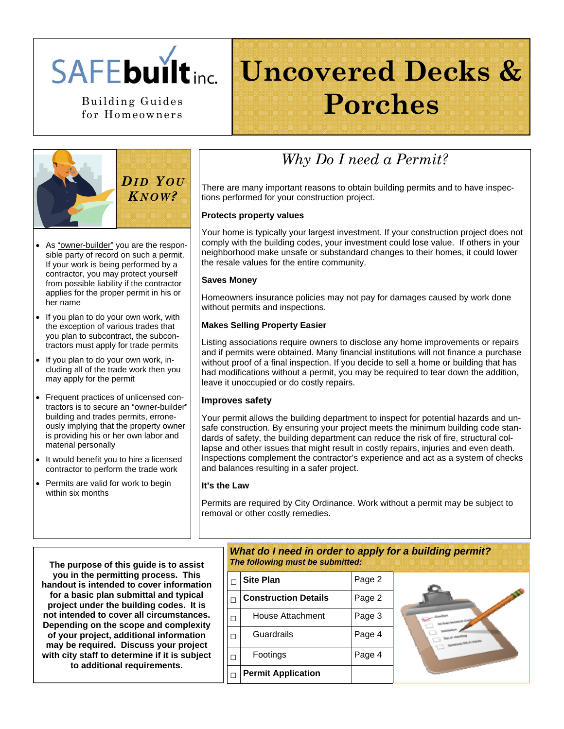

for Homeowners

## **Uncovered Decks &**  Building Guides **Porches**



- As "owner-builder" you are the responsible party of record on such a permit. If your work is being performed by a contractor, you may protect yourself from possible liability if the contractor applies for the proper permit in his or her name
- If you plan to do your own work, with the exception of various trades that you plan to subcontract, the subcontractors must apply for trade permits
- If you plan to do your own work, including all of the trade work then you may apply for the permit
- Frequent practices of unlicensed contractors is to secure an "owner-builder" building and trades permits, erroneously implying that the property owner is providing his or her own labor and material personally
- It would benefit you to hire a licensed contractor to perform the trade work
- Permits are valid for work to begin within six months

### *Why Do I need a Permit?*

There are many important reasons to obtain building permits and to have inspections performed for your construction project.

### **Protects property values**

Your home is typically your largest investment. If your construction project does not comply with the building codes, your investment could lose value. If others in your neighborhood make unsafe or substandard changes to their homes, it could lower the resale values for the entire community.

### **Saves Money**

Homeowners insurance policies may not pay for damages caused by work done without permits and inspections.

### **Makes Selling Property Easier**

Listing associations require owners to disclose any home improvements or repairs and if permits were obtained. Many financial institutions will not finance a purchase without proof of a final inspection. If you decide to sell a home or building that has had modifications without a permit, you may be required to tear down the addition, leave it unoccupied or do costly repairs.

### **Improves safety**

Your permit allows the building department to inspect for potential hazards and unsafe construction. By ensuring your project meets the minimum building code standards of safety, the building department can reduce the risk of fire, structural collapse and other issues that might result in costly repairs, injuries and even death. Inspections complement the contractor's experience and act as a system of checks and balances resulting in a safer project.

#### **It's the Law**

Permits are required by City Ordinance. Work without a permit may be subject to removal or other costly remedies.

**The purpose of this guide is to assist you in the permitting process. This handout is intended to cover information for a basic plan submittal and typical project under the building codes. It is not intended to cover all circumstances. Depending on the scope and complexity of your project, additional information may be required. Discuss your project with city staff to determine if it is subject to additional requirements.** 

### *What do I need in order to apply for a building permit? The following must be submitted:*

|                          | <b>Site Plan</b>            | Page 2 |
|--------------------------|-----------------------------|--------|
|                          | <b>Construction Details</b> | Page 2 |
| П                        | House Attachment            | Page 3 |
| $\overline{\phantom{a}}$ | Guardrails                  | Page 4 |
| П                        | Footings                    | Page 4 |
|                          | <b>Permit Application</b>   |        |

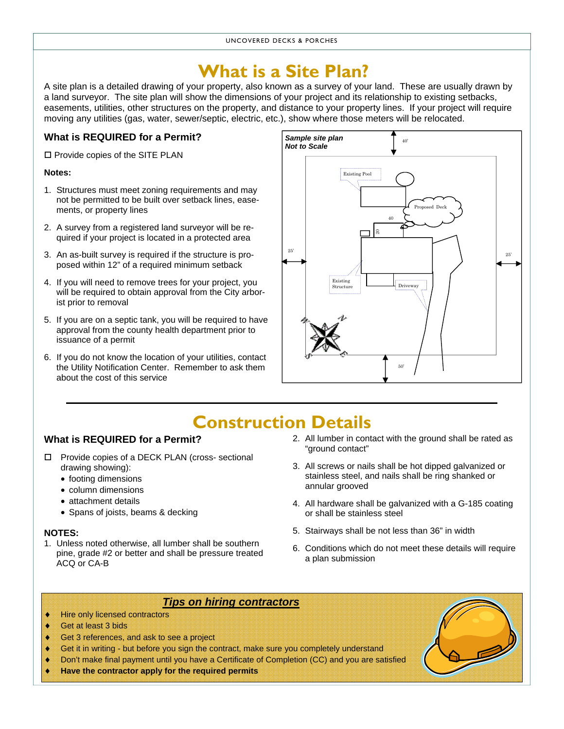### **What is a Site Plan?**

A site plan is a detailed drawing of your property, also known as a survey of your land. These are usually drawn by a land surveyor. The site plan will show the dimensions of your project and its relationship to existing setbacks, easements, utilities, other structures on the property, and distance to your property lines. If your project will require moving any utilities (gas, water, sewer/septic, electric, etc.), show where those meters will be relocated.

### **What is REQUIRED for a Permit?**

 $\square$  Provide copies of the SITE PLAN

### **Notes:**

- 1. Structures must meet zoning requirements and may not be permitted to be built over setback lines, easements, or property lines
- 2. A survey from a registered land surveyor will be required if your project is located in a protected area
- 3. An as-built survey is required if the structure is proposed within 12" of a required minimum setback
- 4. If you will need to remove trees for your project, you will be required to obtain approval from the City arborist prior to removal
- 5. If you are on a septic tank, you will be required to have approval from the county health department prior to issuance of a permit
- 6. If you do not know the location of your utilities, contact the Utility Notification Center. Remember to ask them about the cost of this service



## **Construction Details**

### **What is REQUIRED for a Permit?**

- □ Provide copies of a DECK PLAN (cross- sectional drawing showing):
	- footing dimensions
	- column dimensions
	- attachment details
	- Spans of joists, beams & decking

#### **NOTES:**

1. Unless noted otherwise, all lumber shall be southern pine, grade #2 or better and shall be pressure treated ACQ or CA-B

- 2. All lumber in contact with the ground shall be rated as "ground contact"
- 3. All screws or nails shall be hot dipped galvanized or stainless steel, and nails shall be ring shanked or annular grooved
- 4. All hardware shall be galvanized with a G-185 coating or shall be stainless steel
- 5. Stairways shall be not less than 36" in width
- 6. Conditions which do not meet these details will require a plan submission

### *Tips on hiring contractors*

- **Hire only licensed contractors**
- ♦ Get at least 3 bids
- ♦ Get 3 references, and ask to see a project
- Get it in writing but before you sign the contract, make sure you completely understand
- ♦ Don't make final payment until you have a Certificate of Completion (CC) and you are satisfied
- **Have the contractor apply for the required permits**

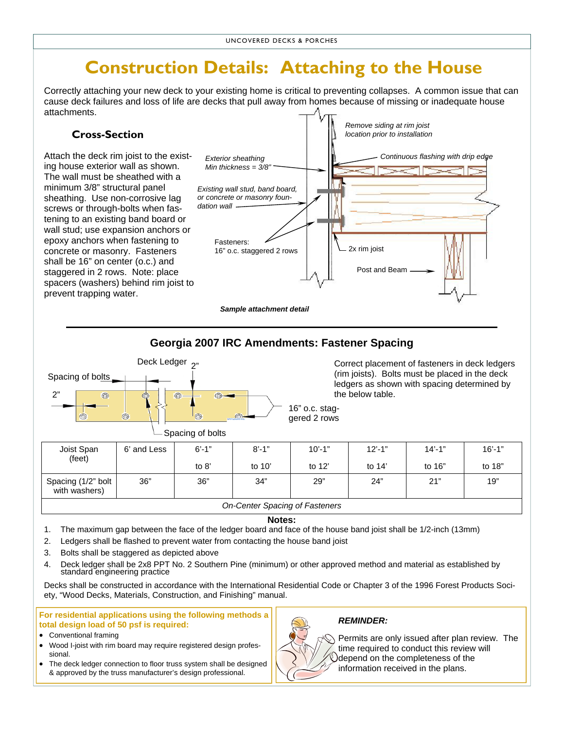### **Construction Details: Attaching to the House**

Correctly attaching your new deck to your existing home is critical to preventing collapses. A common issue that can cause deck failures and loss of life are decks that pull away from homes because of missing or inadequate house attachments.

### **Cross-Section**

Attach the deck rim joist to the existing house exterior wall as shown. The wall must be sheathed with a minimum 3/8" structural panel sheathing. Use non-corrosive lag screws or through-bolts when fastening to an existing band board or wall stud; use expansion anchors or epoxy anchors when fastening to concrete or masonry. Fasteners shall be 16" on center (o.c.) and staggered in 2 rows. Note: place spacers (washers) behind rim joist to prevent trapping water.



### **Georgia 2007 IRC Amendments: Fastener Spacing**



Correct placement of fasteners in deck ledgers (rim joists). Bolts must be placed in the deck ledgers as shown with spacing determined by the below table.

16" o.c. staggered 2 rows

|                                     |             | . .        |                                       |            |            |            |            |
|-------------------------------------|-------------|------------|---------------------------------------|------------|------------|------------|------------|
| Joist Span<br>(feet)                | 6' and Less | $6' - 1''$ | $8' - 1"$                             | $10' - 1"$ | $12' - 1"$ | $14' - 1"$ | $16' - 1"$ |
|                                     |             | to 8'      | to $10'$                              | to $12'$   | to $14'$   | to 16"     | to 18"     |
| Spacing (1/2" bolt<br>with washers) | 36"         | 36"        | 34"                                   | 29"        | 24"        | 21"        | 19"        |
|                                     |             |            | <b>On-Center Spacing of Fasteners</b> |            |            |            |            |

#### **Notes:**

- 1. The maximum gap between the face of the ledger board and face of the house band joist shall be 1/2-inch (13mm)
- 2. Ledgers shall be flashed to prevent water from contacting the house band joist
- 3. Bolts shall be staggered as depicted above
- 4. Deck ledger shall be 2x8 PPT No. 2 Southern Pine (minimum) or other approved method and material as established by standard engineering practice

Decks shall be constructed in accordance with the International Residential Code or Chapter 3 of the 1996 Forest Products Society, "Wood Decks, Materials, Construction, and Finishing" manual.

**For residential applications using the following methods a total design load of 50 psf is required:**

- Conventional framing
- Wood I-joist with rim board may require registered design professional.
- The deck ledger connection to floor truss system shall be designed & approved by the truss manufacturer's design professional.

#### *REMINDER:*



Permits are only issued after plan review. The time required to conduct this review will depend on the completeness of the information received in the plans.